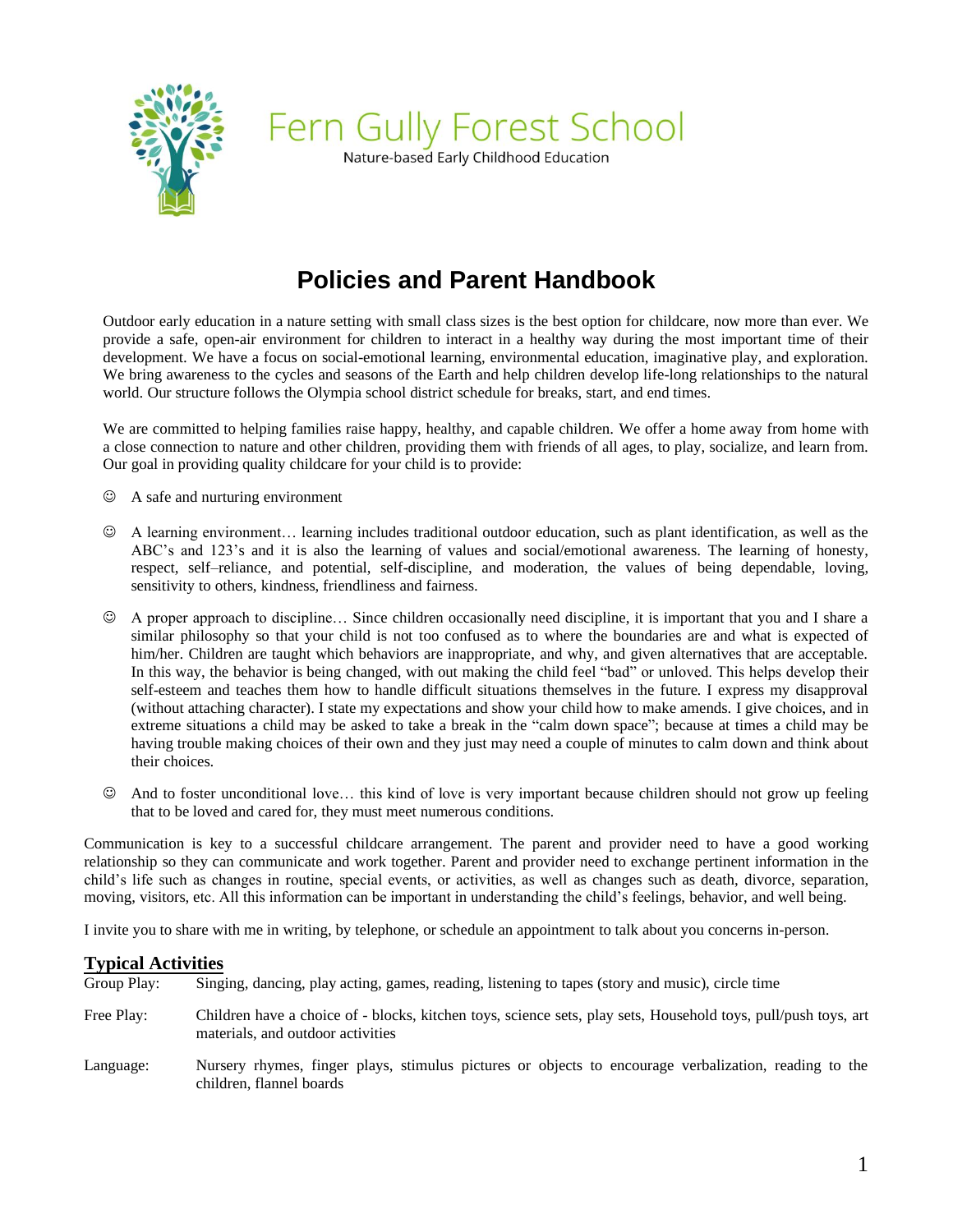

Fern Gully Forest School Nature-based Early Childhood Education

# **Policies and Parent Handbook**

Outdoor early education in a nature setting with small class sizes is the best option for childcare, now more than ever. We provide a safe, open-air environment for children to interact in a healthy way during the most important time of their development. We have a focus on social-emotional learning, environmental education, imaginative play, and exploration. We bring awareness to the cycles and seasons of the Earth and help children develop life-long relationships to the natural world. Our structure follows the Olympia school district schedule for breaks, start, and end times.

We are committed to helping families raise happy, healthy, and capable children. We offer a home away from home with a close connection to nature and other children, providing them with friends of all ages, to play, socialize, and learn from. Our goal in providing quality childcare for your child is to provide:

- ☺ A safe and nurturing environment
- ☺ A learning environment… learning includes traditional outdoor education, such as plant identification, as well as the ABC's and 123's and it is also the learning of values and social/emotional awareness. The learning of honesty, respect, self–reliance, and potential, self-discipline, and moderation, the values of being dependable, loving, sensitivity to others, kindness, friendliness and fairness.
- ☺ A proper approach to discipline… Since children occasionally need discipline, it is important that you and I share a similar philosophy so that your child is not too confused as to where the boundaries are and what is expected of him/her. Children are taught which behaviors are inappropriate, and why, and given alternatives that are acceptable. In this way, the behavior is being changed, with out making the child feel "bad" or unloved. This helps develop their self-esteem and teaches them how to handle difficult situations themselves in the future. I express my disapproval (without attaching character). I state my expectations and show your child how to make amends. I give choices, and in extreme situations a child may be asked to take a break in the "calm down space"; because at times a child may be having trouble making choices of their own and they just may need a couple of minutes to calm down and think about their choices.
- ☺ And to foster unconditional love… this kind of love is very important because children should not grow up feeling that to be loved and cared for, they must meet numerous conditions.

Communication is key to a successful childcare arrangement. The parent and provider need to have a good working relationship so they can communicate and work together. Parent and provider need to exchange pertinent information in the child's life such as changes in routine, special events, or activities, as well as changes such as death, divorce, separation, moving, visitors, etc. All this information can be important in understanding the child's feelings, behavior, and well being.

I invite you to share with me in writing, by telephone, or schedule an appointment to talk about you concerns in-person.

#### **Typical Activities**

| Group Play: | Singing, dancing, play acting, games, reading, listening to tapes (story and music), circle time                                                    |
|-------------|-----------------------------------------------------------------------------------------------------------------------------------------------------|
| Free Play:  | Children have a choice of - blocks, kitchen toys, science sets, play sets, Household toys, pull/push toys, art<br>materials, and outdoor activities |
| Language:   | Nursery rhymes, finger plays, stimulus pictures or objects to encourage verbalization, reading to the<br>children, flannel boards                   |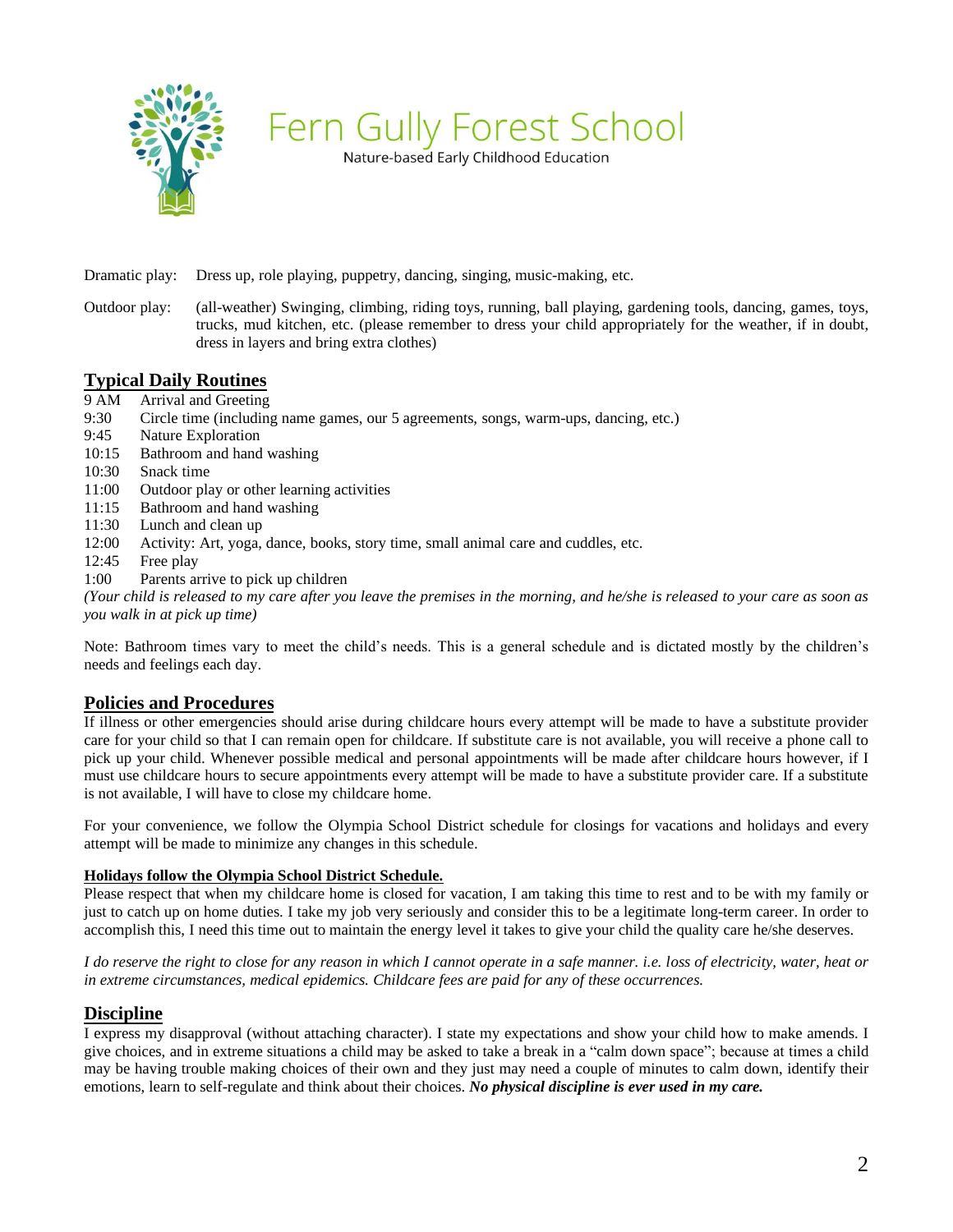

Nature-based Early Childhood Education

Dramatic play: Dress up, role playing, puppetry, dancing, singing, music-making, etc.

Outdoor play: (all-weather) Swinging, climbing, riding toys, running, ball playing, gardening tools, dancing, games, toys, trucks, mud kitchen, etc. (please remember to dress your child appropriately for the weather, if in doubt, dress in layers and bring extra clothes)

## **Typical Daily Routines**

- 9 AM Arrival and Greeting
- 9:30 Circle time (including name games, our 5 agreements, songs, warm-ups, dancing, etc.)
- 9:45 Nature Exploration
- 10:15 Bathroom and hand washing
- 10:30 Snack time
- 11:00 Outdoor play or other learning activities
- 11:15 Bathroom and hand washing
- 11:30 Lunch and clean up
- 12:00 Activity: Art, yoga, dance, books, story time, small animal care and cuddles, etc.
- 12:45 Free play
- 1:00 Parents arrive to pick up children

*(Your child is released to my care after you leave the premises in the morning, and he/she is released to your care as soon as you walk in at pick up time)*

Note: Bathroom times vary to meet the child's needs. This is a general schedule and is dictated mostly by the children's needs and feelings each day.

#### **Policies and Procedures**

If illness or other emergencies should arise during childcare hours every attempt will be made to have a substitute provider care for your child so that I can remain open for childcare. If substitute care is not available, you will receive a phone call to pick up your child. Whenever possible medical and personal appointments will be made after childcare hours however, if I must use childcare hours to secure appointments every attempt will be made to have a substitute provider care. If a substitute is not available, I will have to close my childcare home.

For your convenience, we follow the Olympia School District schedule for closings for vacations and holidays and every attempt will be made to minimize any changes in this schedule.

#### **Holidays follow the Olympia School District Schedule.**

Please respect that when my childcare home is closed for vacation, I am taking this time to rest and to be with my family or just to catch up on home duties. I take my job very seriously and consider this to be a legitimate long-term career. In order to accomplish this, I need this time out to maintain the energy level it takes to give your child the quality care he/she deserves.

*I do reserve the right to close for any reason in which I cannot operate in a safe manner. i.e. loss of electricity, water, heat or in extreme circumstances, medical epidemics. Childcare fees are paid for any of these occurrences.* 

#### **Discipline**

I express my disapproval (without attaching character). I state my expectations and show your child how to make amends. I give choices, and in extreme situations a child may be asked to take a break in a "calm down space"; because at times a child may be having trouble making choices of their own and they just may need a couple of minutes to calm down, identify their emotions, learn to self-regulate and think about their choices. *No physical discipline is ever used in my care.*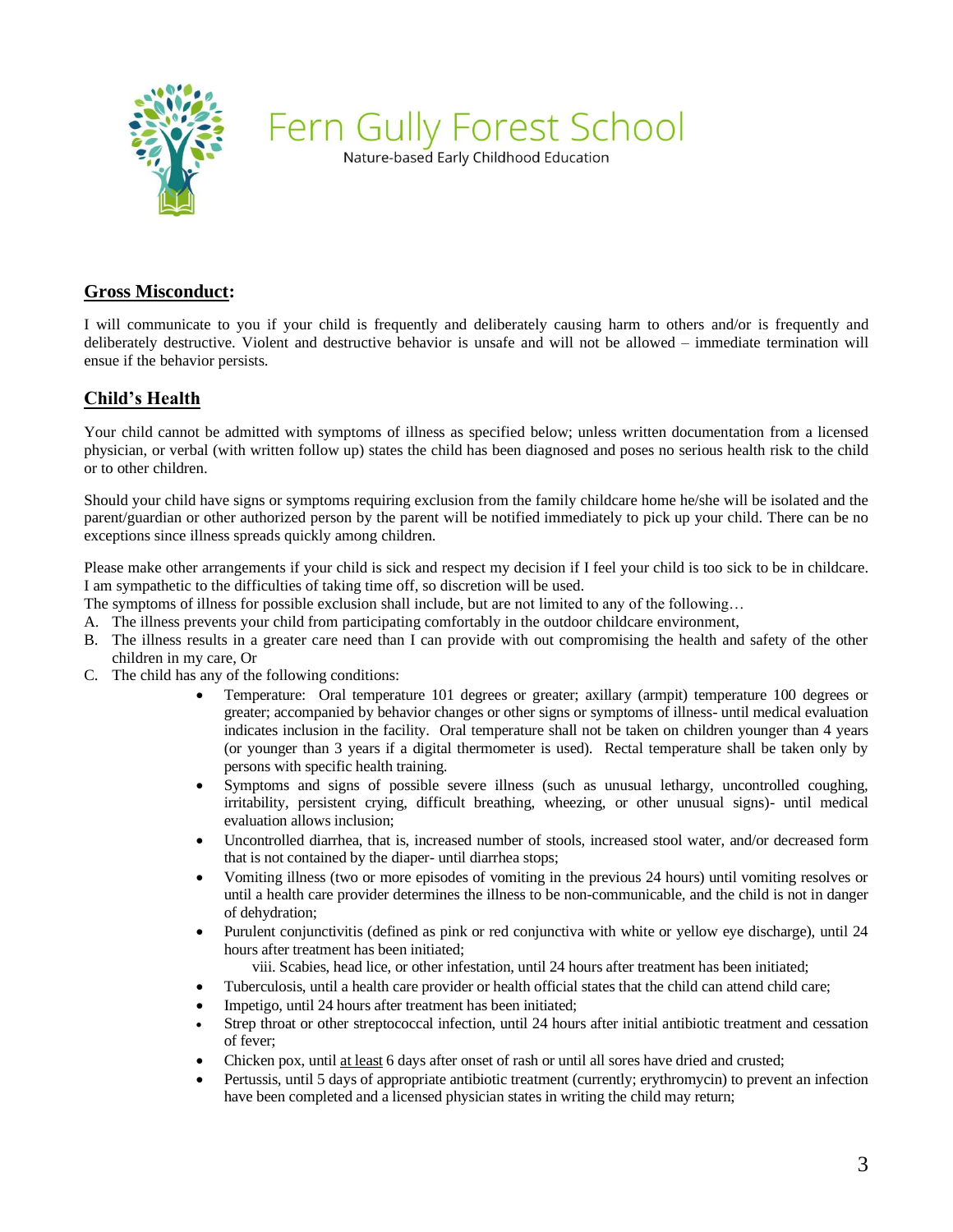

Nature-based Early Childhood Education

# **Gross Misconduct:**

I will communicate to you if your child is frequently and deliberately causing harm to others and/or is frequently and deliberately destructive. Violent and destructive behavior is unsafe and will not be allowed – immediate termination will ensue if the behavior persists.

# **Child's Health**

Your child cannot be admitted with symptoms of illness as specified below; unless written documentation from a licensed physician, or verbal (with written follow up) states the child has been diagnosed and poses no serious health risk to the child or to other children.

Should your child have signs or symptoms requiring exclusion from the family childcare home he/she will be isolated and the parent/guardian or other authorized person by the parent will be notified immediately to pick up your child. There can be no exceptions since illness spreads quickly among children.

Please make other arrangements if your child is sick and respect my decision if I feel your child is too sick to be in childcare. I am sympathetic to the difficulties of taking time off, so discretion will be used.

The symptoms of illness for possible exclusion shall include, but are not limited to any of the following…

- A. The illness prevents your child from participating comfortably in the outdoor childcare environment,
- B. The illness results in a greater care need than I can provide with out compromising the health and safety of the other children in my care, Or
- C. The child has any of the following conditions:
	- Temperature: Oral temperature 101 degrees or greater; axillary (armpit) temperature 100 degrees or greater; accompanied by behavior changes or other signs or symptoms of illness- until medical evaluation indicates inclusion in the facility. Oral temperature shall not be taken on children younger than 4 years (or younger than 3 years if a digital thermometer is used). Rectal temperature shall be taken only by persons with specific health training.
	- Symptoms and signs of possible severe illness (such as unusual lethargy, uncontrolled coughing, irritability, persistent crying, difficult breathing, wheezing, or other unusual signs)- until medical evaluation allows inclusion;
	- Uncontrolled diarrhea, that is, increased number of stools, increased stool water, and/or decreased form that is not contained by the diaper- until diarrhea stops;
	- Vomiting illness (two or more episodes of vomiting in the previous 24 hours) until vomiting resolves or until a health care provider determines the illness to be non-communicable, and the child is not in danger of dehydration;
	- Purulent conjunctivitis (defined as pink or red conjunctiva with white or yellow eye discharge), until 24 hours after treatment has been initiated;

viii. Scabies, head lice, or other infestation, until 24 hours after treatment has been initiated;

- Tuberculosis, until a health care provider or health official states that the child can attend child care;
- Impetigo, until 24 hours after treatment has been initiated;
- Strep throat or other streptococcal infection, until 24 hours after initial antibiotic treatment and cessation of fever;
- Chicken pox, until at least 6 days after onset of rash or until all sores have dried and crusted;
- Pertussis, until 5 days of appropriate antibiotic treatment (currently; erythromycin) to prevent an infection have been completed and a licensed physician states in writing the child may return;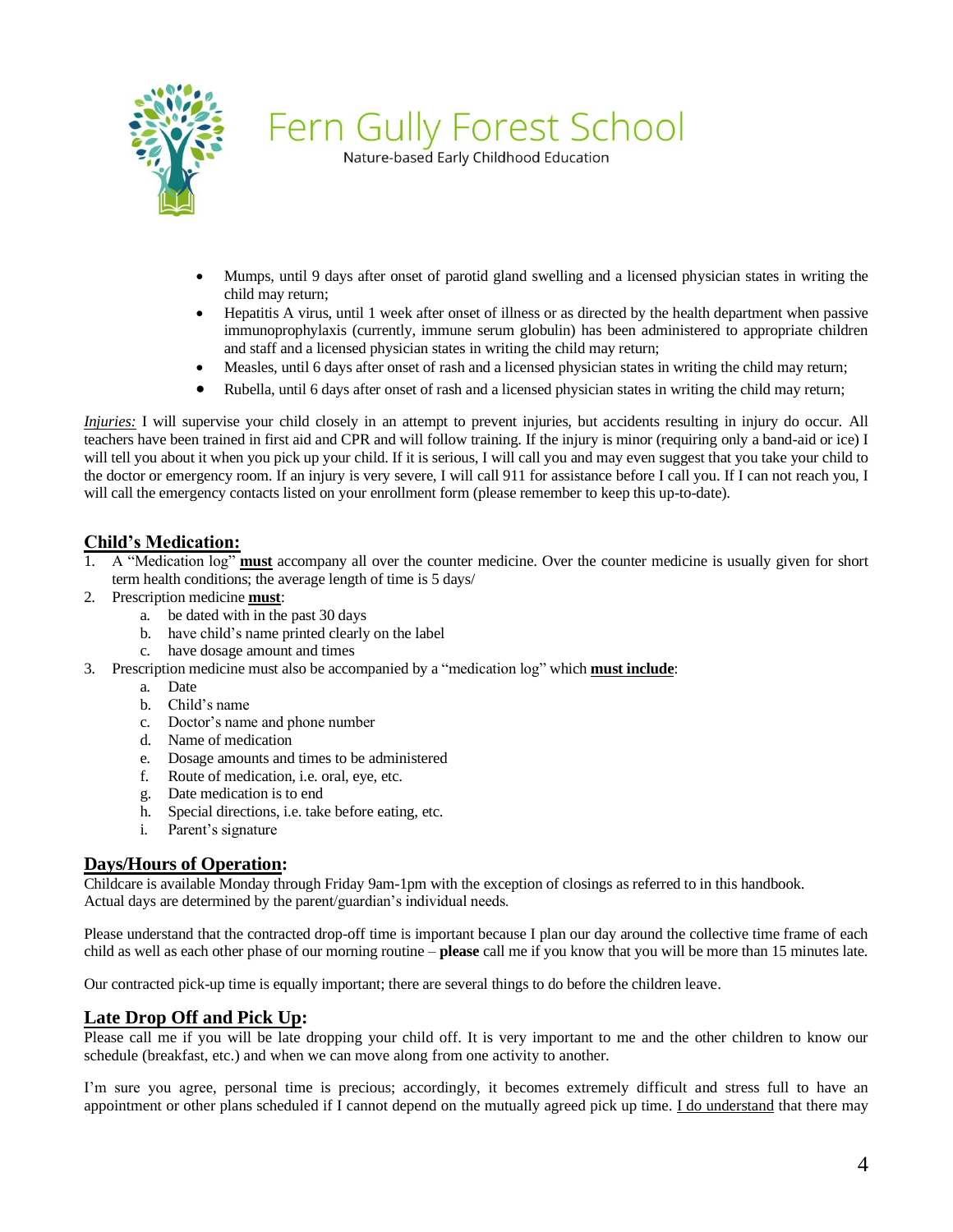

Nature-based Early Childhood Education

- Mumps, until 9 days after onset of parotid gland swelling and a licensed physician states in writing the child may return;
- Hepatitis A virus, until 1 week after onset of illness or as directed by the health department when passive immunoprophylaxis (currently, immune serum globulin) has been administered to appropriate children and staff and a licensed physician states in writing the child may return;
- Measles, until 6 days after onset of rash and a licensed physician states in writing the child may return;
- Rubella, until 6 days after onset of rash and a licensed physician states in writing the child may return;

*Injuries:* I will supervise your child closely in an attempt to prevent injuries, but accidents resulting in injury do occur. All teachers have been trained in first aid and CPR and will follow training. If the injury is minor (requiring only a band-aid or ice) I will tell you about it when you pick up your child. If it is serious, I will call you and may even suggest that you take your child to the doctor or emergency room. If an injury is very severe, I will call 911 for assistance before I call you. If I can not reach you, I will call the emergency contacts listed on your enrollment form (please remember to keep this up-to-date).

# **Child's Medication:**

- 1. A "Medication log" **must** accompany all over the counter medicine. Over the counter medicine is usually given for short term health conditions; the average length of time is 5 days/
- 2. Prescription medicine **must**:
	- a. be dated with in the past 30 days
	- b. have child's name printed clearly on the label
	- c. have dosage amount and times
- 3. Prescription medicine must also be accompanied by a "medication log" which **must include**:
	- a. Date
	- b. Child's name
	- c. Doctor's name and phone number
	- d. Name of medication
	- e. Dosage amounts and times to be administered
	- f. Route of medication, i.e. oral, eye, etc.
	- g. Date medication is to end
	- h. Special directions, i.e. take before eating, etc.
	- i. Parent's signature

# **Days/Hours of Operation:**

Childcare is available Monday through Friday 9am-1pm with the exception of closings as referred to in this handbook. Actual days are determined by the parent/guardian's individual needs.

Please understand that the contracted drop-off time is important because I plan our day around the collective time frame of each child as well as each other phase of our morning routine – **please** call me if you know that you will be more than 15 minutes late.

Our contracted pick-up time is equally important; there are several things to do before the children leave.

# **Late Drop Off and Pick Up:**

Please call me if you will be late dropping your child off. It is very important to me and the other children to know our schedule (breakfast, etc.) and when we can move along from one activity to another.

I'm sure you agree, personal time is precious; accordingly, it becomes extremely difficult and stress full to have an appointment or other plans scheduled if I cannot depend on the mutually agreed pick up time. I do understand that there may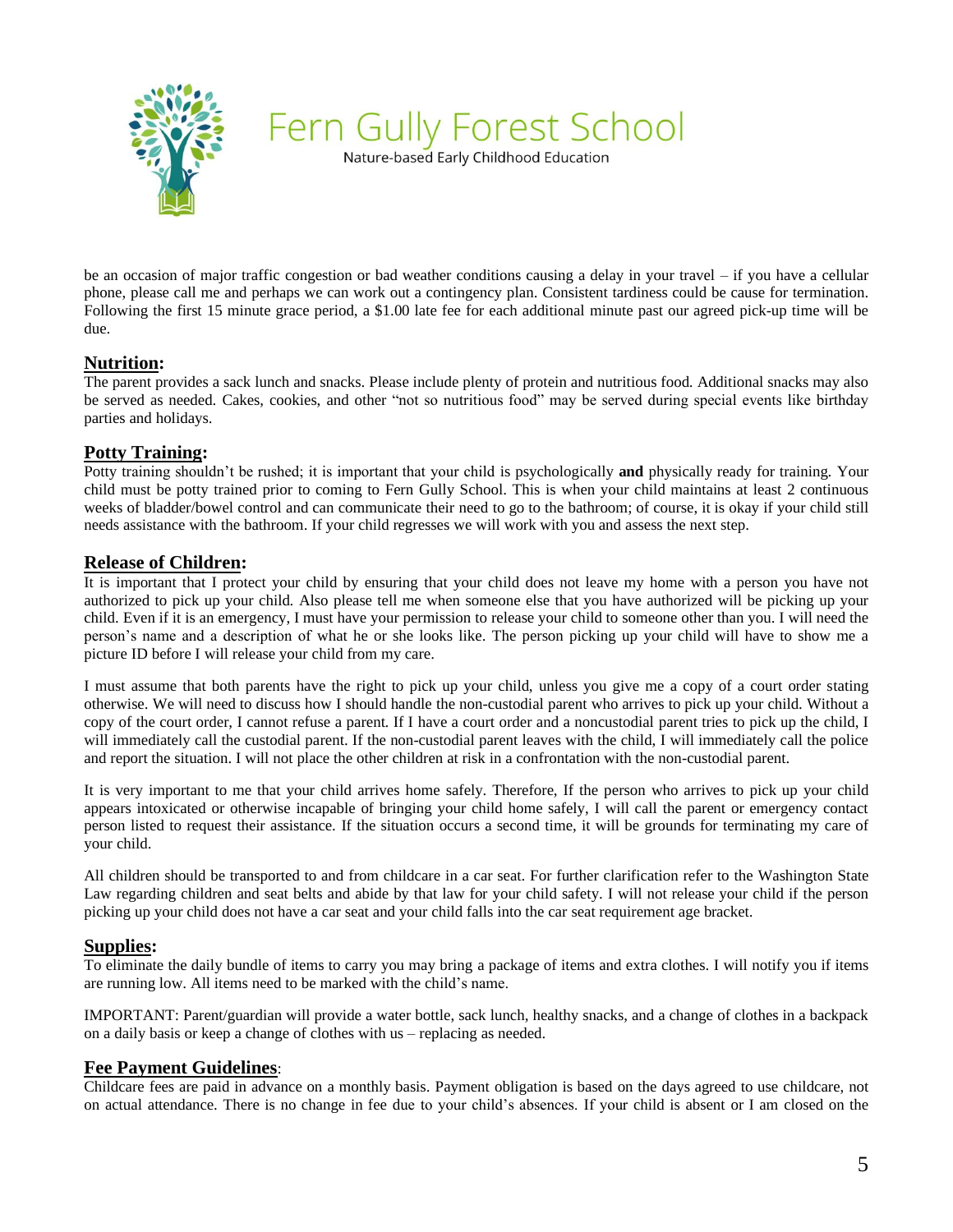

Nature-based Early Childhood Education

be an occasion of major traffic congestion or bad weather conditions causing a delay in your travel – if you have a cellular phone, please call me and perhaps we can work out a contingency plan. Consistent tardiness could be cause for termination. Following the first 15 minute grace period, a \$1.00 late fee for each additional minute past our agreed pick-up time will be due.

#### **Nutrition:**

The parent provides a sack lunch and snacks. Please include plenty of protein and nutritious food. Additional snacks may also be served as needed. Cakes, cookies, and other "not so nutritious food" may be served during special events like birthday parties and holidays.

## **Potty Training:**

Potty training shouldn't be rushed; it is important that your child is psychologically **and** physically ready for training. Your child must be potty trained prior to coming to Fern Gully School. This is when your child maintains at least 2 continuous weeks of bladder/bowel control and can communicate their need to go to the bathroom; of course, it is okay if your child still needs assistance with the bathroom. If your child regresses we will work with you and assess the next step.

#### **Release of Children:**

It is important that I protect your child by ensuring that your child does not leave my home with a person you have not authorized to pick up your child. Also please tell me when someone else that you have authorized will be picking up your child. Even if it is an emergency, I must have your permission to release your child to someone other than you. I will need the person's name and a description of what he or she looks like. The person picking up your child will have to show me a picture ID before I will release your child from my care.

I must assume that both parents have the right to pick up your child, unless you give me a copy of a court order stating otherwise. We will need to discuss how I should handle the non-custodial parent who arrives to pick up your child. Without a copy of the court order, I cannot refuse a parent. If I have a court order and a noncustodial parent tries to pick up the child, I will immediately call the custodial parent. If the non-custodial parent leaves with the child, I will immediately call the police and report the situation. I will not place the other children at risk in a confrontation with the non-custodial parent.

It is very important to me that your child arrives home safely. Therefore, If the person who arrives to pick up your child appears intoxicated or otherwise incapable of bringing your child home safely, I will call the parent or emergency contact person listed to request their assistance. If the situation occurs a second time, it will be grounds for terminating my care of your child.

All children should be transported to and from childcare in a car seat. For further clarification refer to the Washington State Law regarding children and seat belts and abide by that law for your child safety. I will not release your child if the person picking up your child does not have a car seat and your child falls into the car seat requirement age bracket.

#### **Supplies:**

To eliminate the daily bundle of items to carry you may bring a package of items and extra clothes. I will notify you if items are running low. All items need to be marked with the child's name.

IMPORTANT: Parent/guardian will provide a water bottle, sack lunch, healthy snacks, and a change of clothes in a backpack on a daily basis or keep a change of clothes with us – replacing as needed.

# **Fee Payment Guidelines**:

Childcare fees are paid in advance on a monthly basis. Payment obligation is based on the days agreed to use childcare, not on actual attendance. There is no change in fee due to your child's absences. If your child is absent or I am closed on the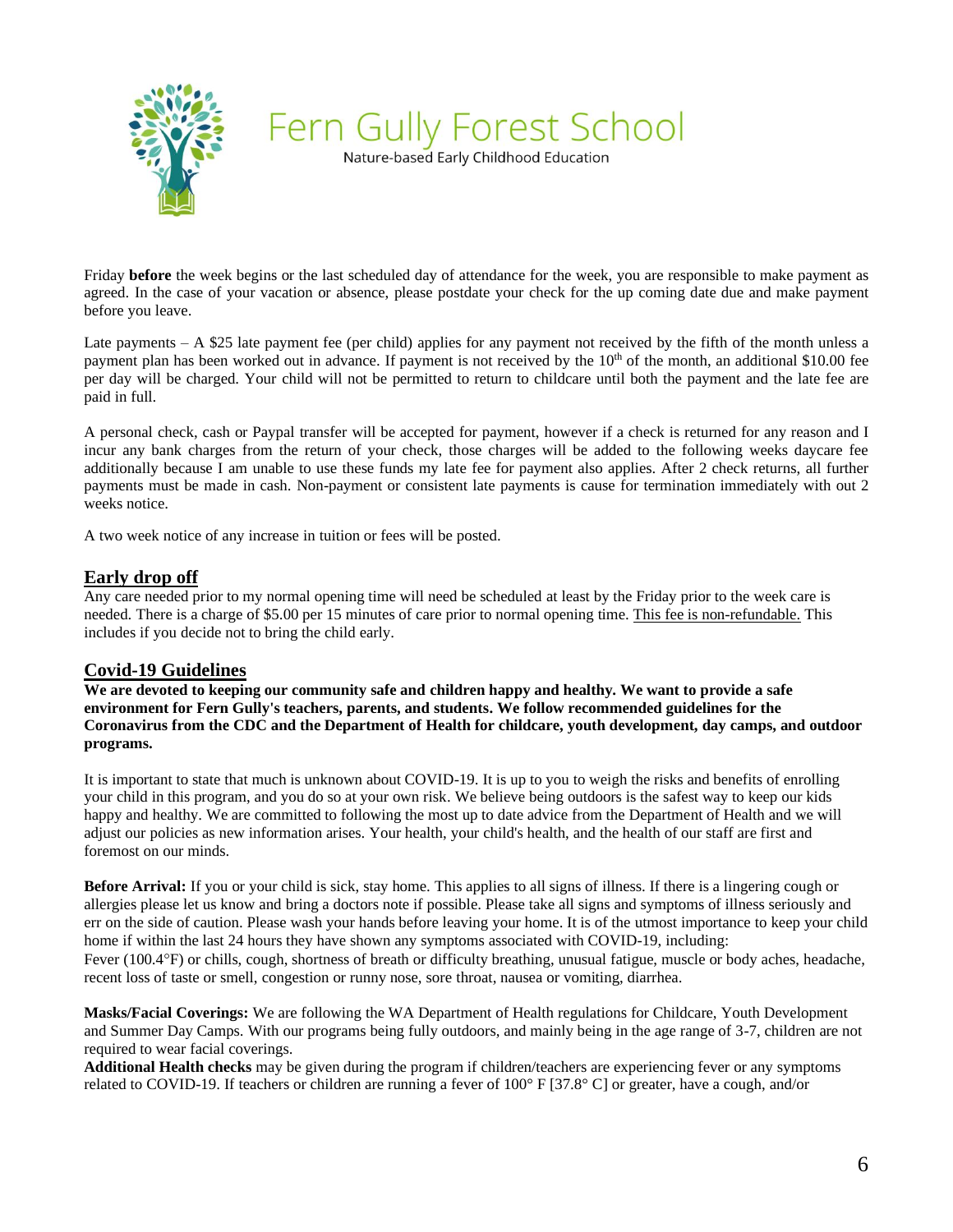

Nature-based Early Childhood Education

Friday **before** the week begins or the last scheduled day of attendance for the week, you are responsible to make payment as agreed. In the case of your vacation or absence, please postdate your check for the up coming date due and make payment before you leave.

Late payments – A \$25 late payment fee (per child) applies for any payment not received by the fifth of the month unless a payment plan has been worked out in advance. If payment is not received by the  $10<sup>th</sup>$  of the month, an additional \$10.00 fee per day will be charged. Your child will not be permitted to return to childcare until both the payment and the late fee are paid in full.

A personal check, cash or Paypal transfer will be accepted for payment, however if a check is returned for any reason and I incur any bank charges from the return of your check, those charges will be added to the following weeks daycare fee additionally because I am unable to use these funds my late fee for payment also applies. After 2 check returns, all further payments must be made in cash. Non-payment or consistent late payments is cause for termination immediately with out 2 weeks notice.

A two week notice of any increase in tuition or fees will be posted.

## **Early drop off**

Any care needed prior to my normal opening time will need be scheduled at least by the Friday prior to the week care is needed. There is a charge of \$5.00 per 15 minutes of care prior to normal opening time. This fee is non-refundable. This includes if you decide not to bring the child early.

# **Covid-19 Guidelines**

**We are devoted to keeping our community safe and children happy and healthy. We want to provide a safe environment for Fern Gully's teachers, parents, and students. We follow recommended guidelines for the Coronavirus from the CDC and the Department of Health for childcare, youth development, day camps, and outdoor programs.**

It is important to state that much is unknown about COVID-19. It is up to you to weigh the risks and benefits of enrolling your child in this program, and you do so at your own risk. We believe being outdoors is the safest way to keep our kids happy and healthy. We are committed to following the most up to date advice from the Department of Health and we will adjust our policies as new information arises. Your health, your child's health, and the health of our staff are first and foremost on our minds.

**Before Arrival:** If you or your child is sick, stay home. This applies to all signs of illness. If there is a lingering cough or allergies please let us know and bring a doctors note if possible. Please take all signs and symptoms of illness seriously and err on the side of caution. Please wash your hands before leaving your home. It is of the utmost importance to keep your child home if within the last 24 hours they have shown any symptoms associated with COVID-19, including:

Fever (100.4°F) or chills, cough, shortness of breath or difficulty breathing, unusual fatigue, muscle or body aches, headache, recent loss of taste or smell, congestion or runny nose, sore throat, nausea or vomiting, diarrhea.

**Masks/Facial Coverings:** We are following the WA Department of Health regulations for Childcare, Youth Development and Summer Day Camps. With our programs being fully outdoors, and mainly being in the age range of 3-7, children are not required to wear facial coverings.

**Additional Health checks** may be given during the program if children/teachers are experiencing fever or any symptoms related to COVID-19. If teachers or children are running a fever of 100° F [37.8° C] or greater, have a cough, and/or